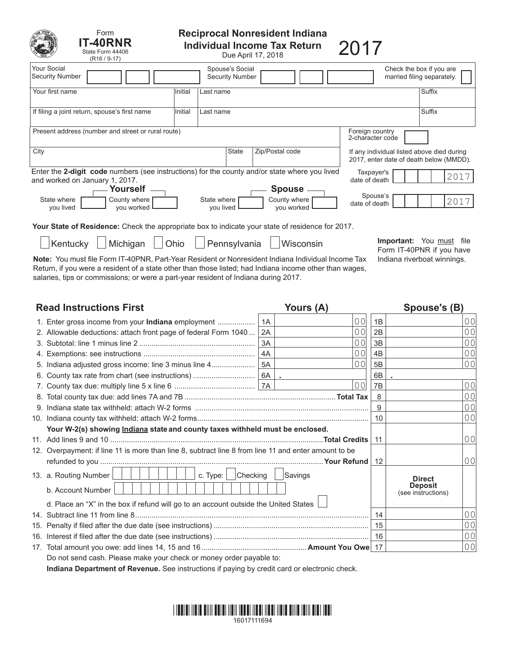| Form<br><b>T-40RNR</b><br>State Form 44406<br>$(R16 / 9-17)$                                                                                                           |                          |                                           | <b>Reciprocal Nonresident Indiana</b><br><b>Individual Income Tax Return</b><br>Due April 17, 2018 | 2017                                                                                  |  |  |  |
|------------------------------------------------------------------------------------------------------------------------------------------------------------------------|--------------------------|-------------------------------------------|----------------------------------------------------------------------------------------------------|---------------------------------------------------------------------------------------|--|--|--|
| Your Social<br><b>Security Number</b>                                                                                                                                  |                          | Spouse's Social<br><b>Security Number</b> |                                                                                                    | Check the box if you are<br>married filing separately.                                |  |  |  |
| Your first name                                                                                                                                                        | Initial<br>Last name     |                                           |                                                                                                    | Suffix                                                                                |  |  |  |
| If filing a joint return, spouse's first name                                                                                                                          | Initial<br>Last name     |                                           |                                                                                                    | Suffix                                                                                |  |  |  |
| Present address (number and street or rural route)                                                                                                                     |                          |                                           |                                                                                                    | Foreign country<br>2-character code                                                   |  |  |  |
| City                                                                                                                                                                   |                          | <b>State</b>                              | Zip/Postal code                                                                                    | If any individual listed above died during<br>2017, enter date of death below (MMDD). |  |  |  |
| Enter the 2-digit code numbers (see instructions) for the county and/or state where you lived<br>Taxpayer's<br>2017<br>date of death<br>and worked on January 1, 2017. |                          |                                           |                                                                                                    |                                                                                       |  |  |  |
| Yourself<br>County where<br>State where<br>you lived<br>you worked                                                                                                     | State where<br>you lived |                                           | <b>Spouse</b><br>County where<br>you worked                                                        | Spouse's<br>2017<br>date of death                                                     |  |  |  |
| <b>Your State of Residence:</b> Check the appropriate box to indicate your state of residence for 2017.                                                                |                          |                                           |                                                                                                    |                                                                                       |  |  |  |
| Kentucky<br>Michigan                                                                                                                                                   | Ohio                     | Pennsylvania                              | Wisconsin                                                                                          | Important:<br>You must<br>file<br>Form IT-40PNR if you have                           |  |  |  |

Note: You must file Form IT-40PNR, Part-Year Resident or Nonresident Indiana Individual Income Tax Indiana riverboat winnings. Return, if you were a resident of a state other than those listed; had Indiana income other than wages, salaries, tips or commissions; or were a part-year resident of Indiana during 2017.

| <b>Read Instructions First</b> |                                                                                                      |    | Yours (A)      | Spouse's (B)   |                                      |                |
|--------------------------------|------------------------------------------------------------------------------------------------------|----|----------------|----------------|--------------------------------------|----------------|
|                                | 1. Enter gross income from your <b>Indiana</b> employment                                            | 1A | 00             | 1B             |                                      | 0 <sub>0</sub> |
|                                | 2. Allowable deductions: attach front page of federal Form 1040                                      | 2A | 00             | 2B             |                                      | 0 <sub>0</sub> |
|                                |                                                                                                      | 3A | 0 <sub>0</sub> | 3B             |                                      | 0 <sub>0</sub> |
|                                |                                                                                                      | 4A | 00             | 4 <sub>B</sub> |                                      | 0 <sub>0</sub> |
|                                | 5. Indiana adjusted gross income: line 3 minus line 4                                                | 5A | 0 <sup>0</sup> | 5B             |                                      | 0 <sub>0</sub> |
|                                | 6. County tax rate from chart (see instructions)                                                     | 6B |                |                |                                      |                |
|                                |                                                                                                      |    | 00             | 7B             |                                      | 0 <sub>0</sub> |
|                                |                                                                                                      |    |                | 8              |                                      | 0 <sub>0</sub> |
|                                |                                                                                                      |    | 9              |                | 0 <sub>0</sub>                       |                |
|                                |                                                                                                      | 10 |                | 0 <sub>0</sub> |                                      |                |
|                                | Your W-2(s) showing Indiana state and county taxes withheld must be enclosed.                        |    |                |                |                                      |                |
|                                |                                                                                                      | 11 |                | 0 <sub>0</sub> |                                      |                |
|                                | 12. Overpayment: if line 11 is more than line 8, subtract line 8 from line 11 and enter amount to be |    |                |                |                                      |                |
|                                |                                                                                                      | 12 |                | 0 <sub>0</sub> |                                      |                |
|                                | 13. a. Routing Number<br>c. Type: $\Box$<br>Checking                                                 |    | Savings        |                | <b>Direct</b>                        |                |
|                                | b. Account Number                                                                                    |    |                |                | <b>Deposit</b><br>(see instructions) |                |
|                                | d. Place an "X" in the box if refund will go to an account outside the United States                 |    |                |                |                                      |                |
|                                |                                                                                                      |    |                | 14             |                                      | 0 <sub>0</sub> |
|                                |                                                                                                      | 15 |                | 0 <sub>0</sub> |                                      |                |
|                                |                                                                                                      | 16 |                | 0 <sub>0</sub> |                                      |                |
|                                |                                                                                                      |    |                |                |                                      | 0 <sub>0</sub> |
|                                | Do not send cash. Please make your check or money order payable to:                                  |    |                |                |                                      |                |

**Indiana Department of Revenue.** See instructions if paying by credit card or electronic check.

# \*16017111694 \*1111 \*11111 \*11111 \*11111 \*11111 \*11111 \*11111 \*11111 \*11111 \*1111 16017111694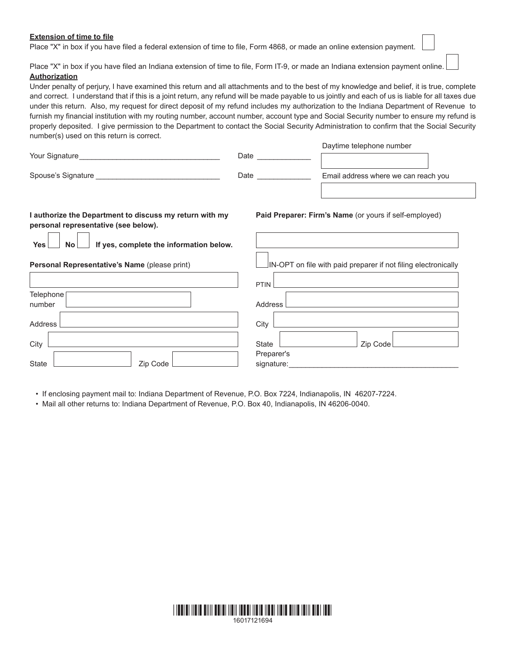### **Extension of time to file**

Place "X" in box if you have filed a federal extension of time to file, Form 4868, or made an online extension payment.

Place "X" in box if you have filed an Indiana extension of time to file, Form IT-9, or made an Indiana extension payment online. **Authorization**

Under penalty of perjury, I have examined this return and all attachments and to the best of my knowledge and belief, it is true, complete and correct. I understand that if this is a joint return, any refund will be made payable to us jointly and each of us is liable for all taxes due under this return. Also, my request for direct deposit of my refund includes my authorization to the Indiana Department of Revenue to furnish my financial institution with my routing number, account number, account type and Social Security number to ensure my refund is properly deposited. I give permission to the Department to contact the Social Security Administration to confirm that the Social Security number(s) used on this return is correct.

| I authorize the Department to discuss my return with my<br>. | Paid Preparer: Firm's Name (or yours if self-employed) |                                      |  |  |  |
|--------------------------------------------------------------|--------------------------------------------------------|--------------------------------------|--|--|--|
| Spouse's Signature                                           | Date                                                   | Email address where we can reach you |  |  |  |
| Your Signature                                               | Date                                                   | Daymne releptione number             |  |  |  |

**personal representative (see below).**

**Personal Representative's Name** (please print)

State **Zip Code** 

**Telephone** number

Address

**City** 

Yes **I** No **I** If yes, complete the information below.

| IN-OPT on file with paid preparer if not filing electronically |
|----------------------------------------------------------------|
| PTIN                                                           |
| <b>Address</b>                                                 |
| City                                                           |
| Zip Code<br>State<br>Preparer's<br>signature:                  |

Daytime telephone number

• If enclosing payment mail to: Indiana Department of Revenue, P.O. Box 7224, Indianapolis, IN 46207-7224.

• Mail all other returns to: Indiana Department of Revenue, P.O. Box 40, Indianapolis, IN 46206-0040.

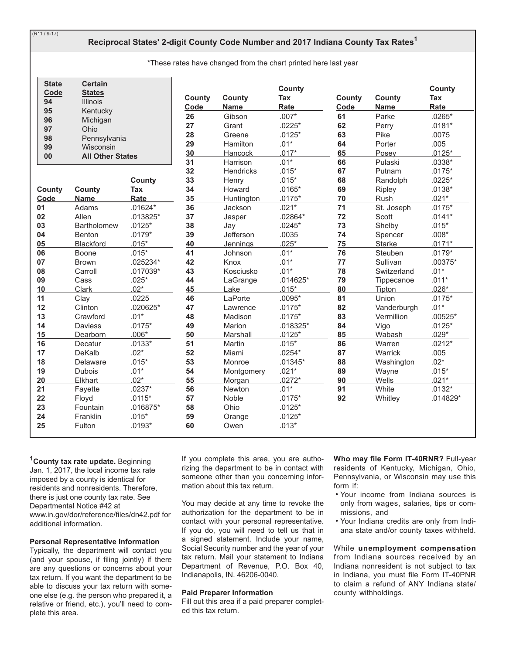$(R11 / 9-17)$ 

# Reciprocal States' 2-digit County Code Number and 2017 Indiana County Tax Rates<sup>1</sup>

\*These rates have changed from the chart printed here last year

| <b>State</b><br>Code<br>94<br>95 | <b>Certain</b><br><b>States</b><br><b>Illinois</b><br>Kentucky |            | County<br>Code | County<br><b>Name</b> | <b>County</b><br><b>Tax</b><br>Rate | County<br>Code | County<br><b>Name</b> | <b>County</b><br><b>Tax</b><br>Rate |
|----------------------------------|----------------------------------------------------------------|------------|----------------|-----------------------|-------------------------------------|----------------|-----------------------|-------------------------------------|
| 96                               | Michigan                                                       |            | 26             | Gibson                | $.007*$                             | 61             | Parke                 | $.0265*$                            |
| 97                               | Ohio                                                           |            | 27             | Grant                 | $.0225*$                            | 62             | Perry                 | $.0181*$                            |
| 98                               | Pennsylvania                                                   |            | 28             | Greene                | $.0125*$                            | 63             | Pike                  | .0075                               |
| 99                               | Wisconsin                                                      |            | 29             | <b>Hamilton</b>       | $.01*$                              | 64             | Porter                | .005                                |
| 00                               | <b>All Other States</b>                                        |            | 30             | Hancock               | $.017*$                             | 65             | Posey                 | $.0125*$                            |
|                                  |                                                                |            | 31             | Harrison              | $.01*$                              | 66             | Pulaski               | $.0338*$                            |
|                                  |                                                                |            | 32             | Hendricks             | $.015*$                             | 67             | Putnam                | $.0175*$                            |
|                                  |                                                                | County     | 33             | Henry                 | $.015*$                             | 68             | Randolph              | $.0225*$                            |
| County                           | County                                                         | Tax        | 34             | Howard                | $.0165*$                            | 69             | Ripley                | $.0138*$                            |
| Code                             | <b>Name</b>                                                    | Rate       | 35             | <b>Huntington</b>     | $.0175*$                            | 70             | Rush                  | $.021*$                             |
| 01                               | Adams                                                          | $.01624*$  | 36             | Jackson               | $.021*$                             | 71             | St. Joseph            | $.0175*$                            |
| 02                               | Allen                                                          | $.013825*$ | 37             | Jasper                | .02864*                             | 72             | Scott                 | $.0141*$                            |
| 03                               | Bartholomew                                                    | $.0125*$   | 38             | Jay                   | $.0245*$                            | 73             | Shelby                | $.015*$                             |
| 04                               | <b>Benton</b>                                                  | $.0179*$   | 39             | Jefferson             | .0035                               | 74             | Spencer               | $.008*$                             |
| 05                               | Blackford                                                      | $.015*$    | 40             | <b>Jennings</b>       | $.025*$                             | 75             | <b>Starke</b>         | $.0171*$                            |
| 06                               | Boone                                                          | $.015*$    | 41             | Johnson               | $.01*$                              | 76             | Steuben               | $.0179*$                            |
| 07                               | <b>Brown</b>                                                   | .025234*   | 42             | Knox                  | $.01*$                              | 77             | Sullivan              | $.00375*$                           |
| 08                               | Carroll                                                        | .017039*   | 43             | Kosciusko             | $.01*$                              | 78             | Switzerland           | $.01*$                              |
| 09                               | Cass                                                           | $.025*$    | 44             | LaGrange              | $.014625*$                          | 79             | Tippecanoe            | $.011*$                             |
| 10                               | Clark                                                          | $.02*$     | 45             | Lake                  | $.015*$                             | 80             | Tipton                | $.026*$                             |
| 11                               | Clay                                                           | .0225      | 46             | LaPorte               | $.0095*$                            | 81             | Union                 | $.0175*$                            |
| 12                               | Clinton                                                        | .020625*   | 47             | Lawrence              | $.0175*$                            | 82             | Vanderburgh           | $.01*$                              |
| 13                               | Crawford                                                       | $.01*$     | 48             | Madison               | $.0175*$                            | 83             | Vermillion            | $.00525*$                           |
| 14                               | <b>Daviess</b>                                                 | $.0175*$   | 49             | Marion                | .018325*                            | 84             | Vigo                  | $.0125*$                            |
| 15                               | Dearborn                                                       | $.006*$    | 50             | Marshall              | $.0125*$                            | 85             | Wabash                | $.029*$                             |
| 16                               | Decatur                                                        | $.0133*$   | 51             | Martin                | $.015*$                             | 86             | Warren                | $.0212*$                            |
| 17                               | DeKalb                                                         | $.02*$     | 52             | Miami                 | $.0254*$                            | 87             | Warrick               | .005                                |
| 18                               | Delaware                                                       | $.015*$    | 53             | Monroe                | $.01345*$                           | 88             | Washington            | $.02*$                              |
| 19                               | <b>Dubois</b>                                                  | $.01*$     | 54             | Montgomery            | $.021*$                             | 89             | Wayne                 | $.015*$                             |
| 20                               | Elkhart                                                        | $.02*$     | 55             | Morgan                | $.0272*$                            | 90             | Wells                 | $.021*$                             |
| 21                               | Fayette                                                        | $.0237*$   | 56             | Newton                | $.01*$                              | 91             | White                 | $.0132*$                            |
| 22                               | Floyd                                                          | $.0115*$   | 57             | Noble                 | $.0175*$                            | 92             | Whitley               | .014829*                            |
| 23                               | Fountain                                                       | .016875*   | 58             | Ohio                  | $.0125*$                            |                |                       |                                     |
| 24                               | Franklin                                                       | $.015*$    | 59             | Orange                | $.0125*$                            |                |                       |                                     |
| 25                               | Fulton                                                         | $.0193*$   | 60             | Owen                  | $.013*$                             |                |                       |                                     |

<sup>1</sup>County tax rate update. Beginning Jan. 1, 2017, the local income tax rate imposed by a county is identical for residents and nonresidents. Therefore, there is just one county tax rate. See Departmental Notice #42 at www.in.gov/dor/reference/files/dn42.pdf for additional information.

#### **Personal Representative Information**

Typically, the department will contact you (and your spouse, if filing jointly) if there are any questions or concerns about your tax return. If you want the department to be able to discuss your tax return with someone else (e.g. the person who prepared it, a relative or friend, etc.), you'll need to complete this area.

If you complete this area, you are authorizing the department to be in contact with someone other than you concerning information about this tax return.

You may decide at any time to revoke the authorization for the department to be in contact with your personal representative. If you do, you will need to tell us that in a signed statement. Include your name, Social Security number and the year of your tax return. Mail your statement to Indiana Department of Revenue, P.O. Box 40, Indianapolis, IN. 46206-0040.

#### **Paid Preparer Information**

Fill out this area if a paid preparer completed this tax return.

Who may file Form IT-40RNR? Full-year residents of Kentucky, Michigan, Ohio, Pennsylvania, or Wisconsin may use this form if:

- . Your income from Indiana sources is only from wages, salaries, tips or commissions, and
- . Your Indiana credits are only from Indiana state and/or county taxes withheld.

While unemployment compensation from Indiana sources received by an Indiana nonresident is not subject to tax in Indiana, you must file Form IT-40PNR to claim a refund of ANY Indiana state/ county withholdings.